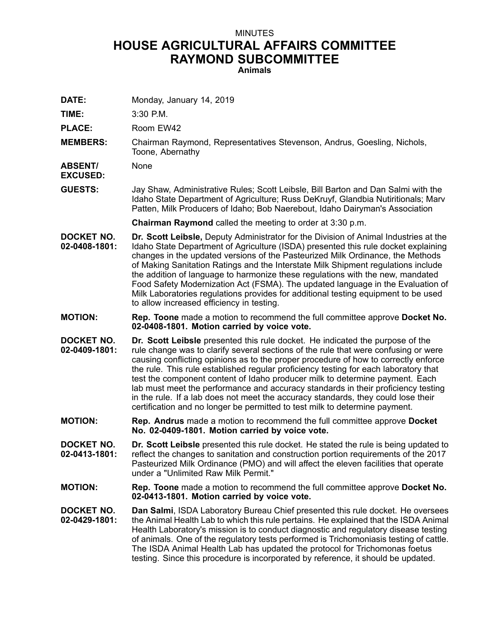## MINUTES **HOUSE AGRICULTURAL AFFAIRS COMMITTEE RAYMOND SUBCOMMITTEE**

**Animals**

**DATE:** Monday, January 14, 2019

**TIME:** 3:30 P.M.

PLACE: Room EW42

**MEMBERS:** Chairman Raymond, Representatives Stevenson, Andrus, Goesling, Nichols, Toone, Abernathy

**ABSENT/ EXCUSED:** None

**GUESTS:** Jay Shaw, Administrative Rules; Scott Leibsle, Bill Barton and Dan Salmi with the Idaho State Department of Agriculture; Russ DeKruyf, Glandbia Nutiritionals; Marv Patten, Milk Producers of Idaho; Bob Naerebout, Idaho Dairyman's Association

**Chairman Raymond** called the meeting to order at 3:30 p.m.

- **DOCKET NO. 02-0408-1801: Dr. Scott Leibsle,** Deputy Administrator for the Division of Animal Industries at the Idaho State Department of Agriculture (ISDA) presented this rule docket explaining changes in the updated versions of the Pasteurized Milk Ordinance, the Methods of Making Sanitation Ratings and the Interstate Milk Shipment regulations include the addition of language to harmonize these regulations with the new, mandated Food Safety Modernization Act (FSMA). The updated language in the Evaluation of Milk Laboratories regulations provides for additional testing equipment to be used to allow increased efficiency in testing.
- **MOTION: Rep. Toone** made <sup>a</sup> motion to recommend the full committee approve **Docket No. 02-0408-1801. Motion carried by voice vote.**
- **DOCKET NO. 02-0409-1801: Dr. Scott Leibsle** presented this rule docket. He indicated the purpose of the rule change was to clarify several sections of the rule that were confusing or were causing conflicting opinions as to the proper procedure of how to correctly enforce the rule. This rule established regular proficiency testing for each laboratory that test the component content of Idaho producer milk to determine payment. Each lab must meet the performance and accuracy standards in their proficiency testing in the rule. If <sup>a</sup> lab does not meet the accuracy standards, they could lose their certification and no longer be permitted to test milk to determine payment.
- **MOTION: Rep. Andrus** made <sup>a</sup> motion to recommend the full committee approve **Docket No. 02-0409-1801. Motion carried by voice vote.**
- **DOCKET NO. 02-0413-1801: Dr. Scott Leibsle** presented this rule docket. He stated the rule is being updated to reflect the changes to sanitation and construction portion requirements of the 2017 Pasteurized Milk Ordinance (PMO) and will affect the eleven facilities that operate under a "Unlimited Raw Milk Permit."
- **MOTION: Rep. Toone** made <sup>a</sup> motion to recommend the full committee approve **Docket No. 02-0413-1801. Motion carried by voice vote.**
- **DOCKET NO. 02-0429-1801: Dan Salmi**, ISDA Laboratory Bureau Chief presented this rule docket. He oversees the Animal Health Lab to which this rule pertains. He explained that the ISDA Animal Health Laboratory's mission is to conduct diagnostic and regulatory disease testing of animals. One of the regulatory tests performed is Trichomoniasis testing of cattle. The ISDA Animal Health Lab has updated the protocol for Trichomonas foetus testing. Since this procedure is incorporated by reference, it should be updated.